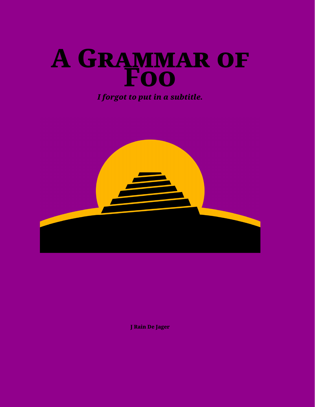## **A Grammar of Foo**

*I forgot to put in a subtitle.*



**J Rain De Jager**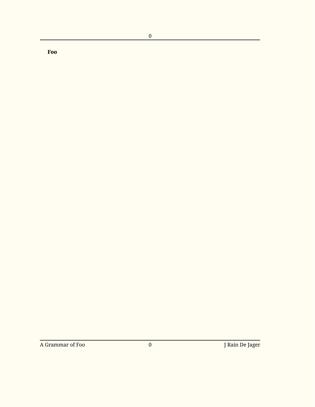**Foo**

0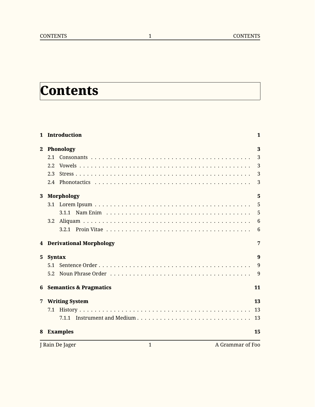## **Contents**

|             | 1 Introduction                                      | 1  |  |  |  |  |
|-------------|-----------------------------------------------------|----|--|--|--|--|
| $2^{\circ}$ | Phonology                                           | 3  |  |  |  |  |
|             |                                                     | 3  |  |  |  |  |
|             | $2.2^{\circ}$                                       | 3  |  |  |  |  |
|             | 2.3                                                 | 3  |  |  |  |  |
|             |                                                     | 3  |  |  |  |  |
| 3           | Morphology<br>5                                     |    |  |  |  |  |
|             |                                                     | 5  |  |  |  |  |
|             |                                                     | 5  |  |  |  |  |
|             | 3.2                                                 | 6  |  |  |  |  |
|             |                                                     | 6  |  |  |  |  |
|             | <b>4 Derivational Morphology</b>                    | 7  |  |  |  |  |
|             | 5 Syntax                                            | 9  |  |  |  |  |
|             |                                                     | 9  |  |  |  |  |
|             |                                                     | 9  |  |  |  |  |
|             | <b>6 Semantics &amp; Pragmatics</b>                 | 11 |  |  |  |  |
|             | 7 Writing System                                    | 13 |  |  |  |  |
|             |                                                     | 13 |  |  |  |  |
|             | 7.1.1 Instrument and Medium                         | 13 |  |  |  |  |
|             | 8 Examples                                          | 15 |  |  |  |  |
|             | A Grammar of Foo<br>J Rain De Jager<br>$\mathbf{1}$ |    |  |  |  |  |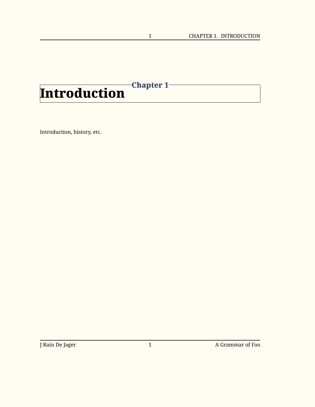# **Chapter 1 Introduction**

Introduction, history, etc.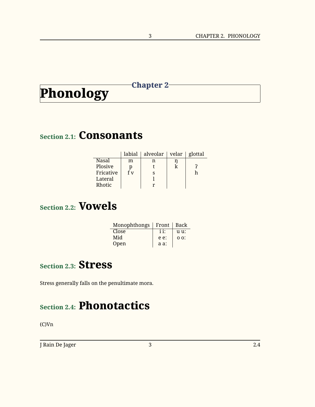### **Chapter 2**

## **Section 2.1: Consonants**

**Phonology**

|           |    | labial   alveolar   velar   glottal |  |
|-----------|----|-------------------------------------|--|
| Nasal     | m  | n                                   |  |
| Plosive   |    |                                     |  |
| Fricative | fv |                                     |  |
| Lateral   |    |                                     |  |
| Rhotic    |    |                                     |  |

## **Section 2.2: Vowels**

| Monophthongs | Front   Back |                |
|--------------|--------------|----------------|
| Close        | i i:         | u u:           |
| Mid          | e e:         | 0 <sub>0</sub> |
| Open         | a a:         |                |

## **Section 2.3: Stress**

Stress generally falls on the penultimate mora.

## **Section 2.4: Phonotactics**

(C)Vn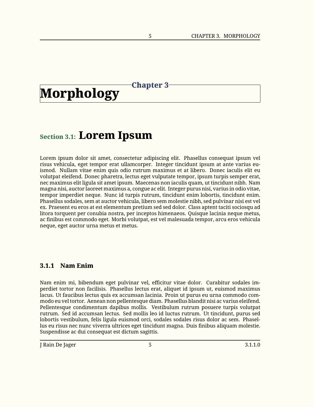#### **Chapter 3 Morphology**

### **Section 3.1: Lorem Ipsum**

Lorem ipsum dolor sit amet, consectetur adipiscing elit. Phasellus consequat ipsum vel risus vehicula, eget tempor erat ullamcorper. Integer tincidunt ipsum at ante varius euismod. Nullam vitae enim quis odio rutrum maximus et at libero. Donec iaculis elit eu volutpat eleifend. Donec pharetra, lectus eget vulputate tempor, ipsum turpis semper erat, nec maximus elit ligula sit amet ipsum. Maecenas non iaculis quam, ut tincidunt nibh. Nam magna nisi, auctor laoreet maximus a, congue ac elit. Integer purus nisi, varius in odio vitae, tempor imperdiet neque. Nunc id turpis rutrum, tincidunt enim lobortis, tincidunt enim. Phasellus sodales, sem at auctor vehicula, libero sem molestie nibh, sed pulvinar nisi est vel ex. Praesent eu eros at est elementum pretium sed sed dolor. Class aptent taciti sociosqu ad litora torquent per conubia nostra, per inceptos himenaeos. Quisque lacinia neque metus, ac finibus est commodo eget. Morbi volutpat, est vel malesuada tempor, arcu eros vehicula neque, eget auctor urna metus et metus.

#### **3.1.1 Nam Enim**

Nam enim mi, bibendum eget pulvinar vel, efficitur vitae dolor. Curabitur sodales imperdiet tortor non facilisis. Phasellus lectus erat, aliquet id ipsum ut, euismod maximus lacus. Ut faucibus lectus quis ex accumsan lacinia. Proin ut purus eu urna commodo commodo eu vel tortor. Aenean non pellentesque diam. Phasellus blandit nisi ac varius eleifend. Pellentesque condimentum dapibus mollis. Vestibulum rutrum posuere turpis volutpat rutrum. Sed id accumsan lectus. Sed mollis leo id luctus rutrum. Ut tincidunt, purus sed lobortis vestibulum, felis ligula euismod orci, sodales sodales risus dolor ac sem. Phasellus eu risus nec nunc viverra ultrices eget tincidunt magna. Duis finibus aliquam molestie. Suspendisse ac dui consequat est dictum sagittis.

J Rain De Jager 3.1.1.0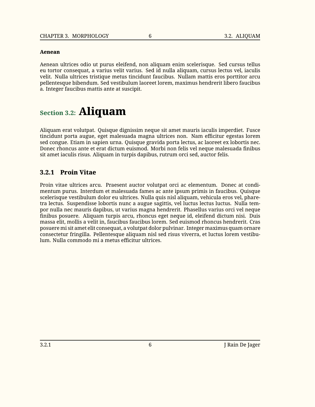#### **Aenean**

Aenean ultrices odio ut purus eleifend, non aliquam enim scelerisque. Sed cursus tellus eu tortor consequat, a varius velit varius. Sed id nulla aliquam, cursus lectus vel, iaculis velit. Nulla ultrices tristique metus tincidunt faucibus. Nullam mattis eros porttitor arcu pellentesque bibendum. Sed vestibulum laoreet lorem, maximus hendrerit libero faucibus a. Integer faucibus mattis ante at suscipit.

### **Section 3.2: Aliquam**

Aliquam erat volutpat. Quisque dignissim neque sit amet mauris iaculis imperdiet. Fusce tincidunt porta augue, eget malesuada magna ultrices non. Nam efficitur egestas lorem sed congue. Etiam in sapien urna. Quisque gravida porta lectus, ac laoreet ex lobortis nec. Donec rhoncus ante et erat dictum euismod. Morbi non felis vel neque malesuada finibus sit amet iaculis risus. Aliquam in turpis dapibus, rutrum orci sed, auctor felis.

#### **3.2.1 Proin Vitae**

Proin vitae ultrices arcu. Praesent auctor volutpat orci ac elementum. Donec at condimentum purus. Interdum et malesuada fames ac ante ipsum primis in faucibus. Quisque scelerisque vestibulum dolor eu ultrices. Nulla quis nisl aliquam, vehicula eros vel, pharetra lectus. Suspendisse lobortis nunc a augue sagittis, vel luctus lectus luctus. Nulla tempor nulla nec mauris dapibus, ut varius magna hendrerit. Phasellus varius orci vel neque finibus posuere. Aliquam turpis arcu, rhoncus eget neque id, eleifend dictum nisi. Duis massa elit, mollis a velit in, faucibus faucibus lorem. Sed euismod rhoncus hendrerit. Cras posuere mi sit amet elit consequat, a volutpat dolor pulvinar. Integer maximus quam ornare consectetur fringilla. Pellentesque aliquam nisl sed risus viverra, et luctus lorem vestibulum. Nulla commodo mi a metus efficitur ultrices.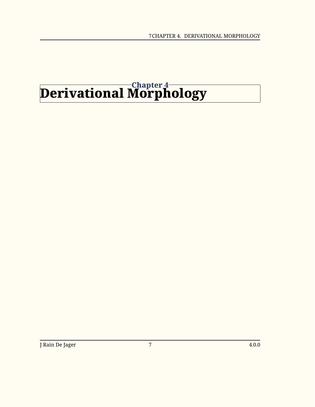7CHAPTER 4. DERIVATIONAL MORPHOLOGY

## **Chapter 4 Derivational Morphology**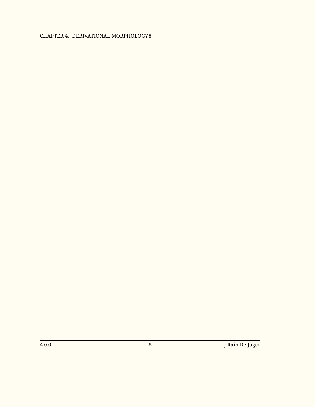#### CHAPTER 4. DERIVATIONAL MORPHOLOGY8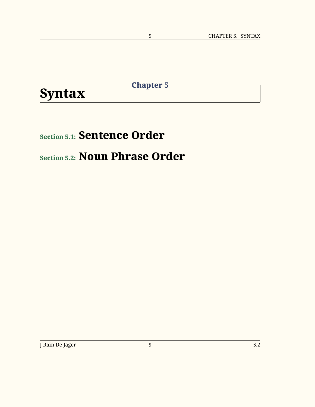

## **Section 5.1: Sentence Order**

## **Section 5.2: Noun Phrase Order**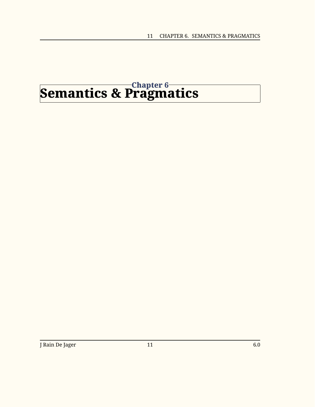## **Chapter 6 Semantics & Pragmatics**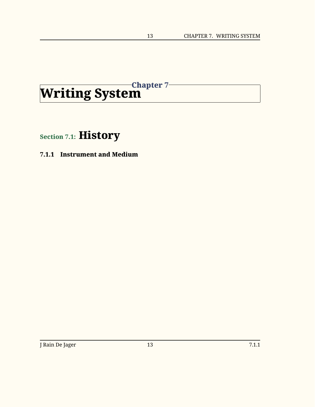# **Chapter 7 Writing System**

**Section 7.1: History**

**7.1.1 Instrument and Medium**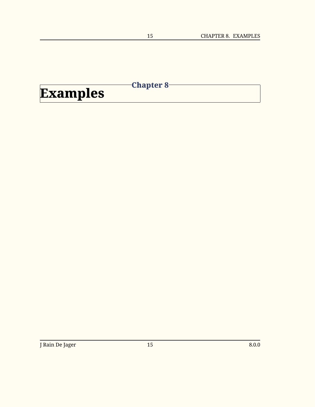## **Chapter 8 Examples**